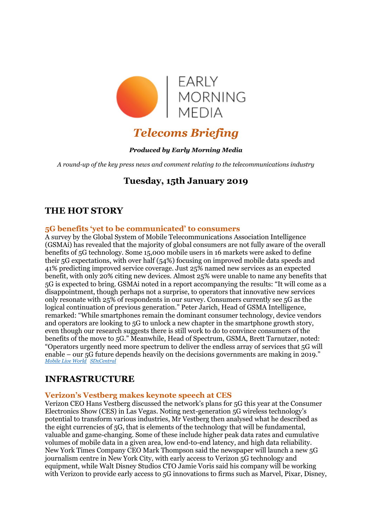

# *Telecoms Briefing*

### *Produced by Early Morning Media*

*A round-up of the key press news and comment relating to the telecommunications industry*

# **Tuesday, 15th January 2019**

# **THE HOT STORY**

### **5G benefits 'yet to be communicated' to consumers**

A survey by the Global System of Mobile Telecommunications Association Intelligence (GSMAi) has revealed that the majority of global consumers are not fully aware of the overall benefits of 5G technology. Some 15,000 mobile users in 16 markets were asked to define their 5G expectations, with over half (54%) focusing on improved mobile data speeds and 41% predicting improved service coverage. Just 25% named new services as an expected benefit, with only 20% citing new devices. Almost 25% were unable to name any benefits that 5G is expected to bring. GSMAi noted in a report accompanying the results: "It will come as a disappointment, though perhaps not a surprise, to operators that innovative new services only resonate with 25% of respondents in our survey. Consumers currently see 5G as the logical continuation of previous generation." Peter Jarich, Head of GSMA Intelligence, remarked: "While smartphones remain the dominant consumer technology, device vendors and operators are looking to 5G to unlock a new chapter in the smartphone growth story, even though our research suggests there is still work to do to convince consumers of the benefits of the move to 5G." Meanwhile, Head of Spectrum, GSMA, Brett Tarnutzer, noted: "Operators urgently need more spectrum to deliver the endless array of services that 5G will enable – our 5G future depends heavily on the decisions governments are making in 2019." *[Mobile Live World](https://www.mobileworldlive.com/featured-content/top-three/industry-failing-to-communicate-5g-benefits/) [SDxCentral](https://www.sdxcentral.com/articles/news/gsmai-consumer-survey-ratchets-down-5g-hype/2019/01/)*

### **INFRASTRUCTURE**

### **Verizon's Vestberg makes keynote speech at CES**

Verizon CEO Hans Vestberg discussed the network's plans for 5G this year at the Consumer Electronics Show (CES) in Las Vegas. Noting next-generation 5G wireless technology's potential to transform various industries, Mr Vestberg then analysed what he described as the eight currencies of 5G, that is elements of the technology that will be fundamental, valuable and game-changing. Some of these include higher peak data rates and cumulative volumes of mobile data in a given area, low end-to-end latency, and high data reliability. New York Times Company CEO Mark Thompson said the newspaper will launch a new 5G journalism centre in New York City, with early access to Verizon 5G technology and equipment, while Walt Disney Studios CTO Jamie Voris said his company will be working with Verizon to provide early access to 5G innovations to firms such as Marvel, Pixar, Disney,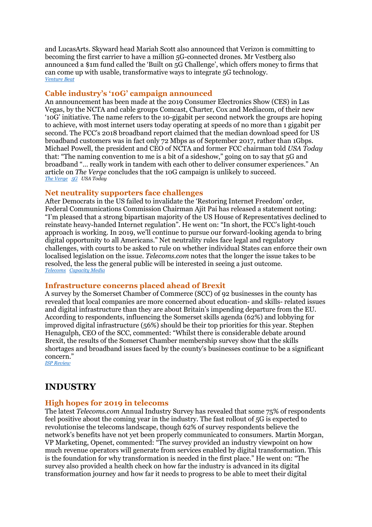and LucasArts. Skyward head Mariah Scott also announced that Verizon is committing to becoming the first carrier to have a million 5G-connected drones. Mr Vestberg also announced a \$1m fund called the 'Built on 5G Challenge', which offers money to firms that can come up with usable, transformative ways to integrate 5G technology. *[Venture Beat](https://venturebeat.com/2019/01/08/verizons-5g-keynote-at-ces-spotlights-media-drone-flights-and-health-partnerships/)*

### **Cable industry's '10G' campaign announced**

An announcement has been made at the 2019 Consumer Electronics Show (CES) in Las Vegas, by the NCTA and cable groups Comcast, Charter, Cox and Mediacom, of their new '10G' initiative. The name refers to the 10-gigabit per second network the groups are hoping to achieve, with most internet users today operating at speeds of no more than 1 gigabit per second. The FCC's 2018 broadband report claimed that the median download speed for US broadband customers was in fact only 72 Mbps as of September 2017, rather than 1Gbps. Michael Powell, the president and CEO of NCTA and former FCC chairman told *USA Today* that: "The naming convention to me is a bit of a sideshow," going on to say that 5G and broadband "… really work in tandem with each other to deliver consumer experiences." An article on *The Verge* concludes that the 10G campaign is unlikely to succeed. *[The Verge](https://www.theverge.com/2019/1/9/18176044/10g-program-cable-companies-5g-mobile-broadband-internet-ces-2019) [5G](https://5g.co.uk/news/cable-industry-touts-10g/4662/) USA Today*

#### **Net neutrality supporters face challenges**

After Democrats in the US failed to invalidate the 'Restoring Internet Freedom' order, Federal Communications Commission Chairman Ajit Pai has released a statement noting: "I'm pleased that a strong bipartisan majority of the US House of Representatives declined to reinstate heavy-handed Internet regulation". He went on: "In short, the FCC's light-touch approach is working. In 2019, we'll continue to pursue our forward-looking agenda to bring digital opportunity to all Americans." Net neutrality rules face legal and regulatory challenges, with courts to be asked to rule on whether individual States can enforce their own localised legislation on the issue. *Telecoms.com* notes that the longer the issue takes to be resolved, the less the general public will be interested in seeing a just outcome. *[Telecoms](http://telecoms.com/494420/options-are-running-out-for-net-neutrality-supporters/) [Capacity Media](https://www.capacitymedia.com/articles/3822926/fcc-goes-into-hibernation-after-trump-and-congress-stop-government-funds)*

#### **Infrastructure concerns placed ahead of Brexit**

A survey by the Somerset Chamber of Commerce (SCC) of 92 businesses in the county has revealed that local companies are more concerned about education- and skills- related issues and digital infrastructure than they are about Britain's impending departure from the EU. According to respondents, influencing the Somerset skills agenda (62%) and lobbying for improved digital infrastructure (56%) should be their top priorities for this year. Stephen Henagulph, CEO of the SCC, commented: "Whilst there is considerable debate around Brexit, the results of the Somerset Chamber membership survey show that the skills shortages and broadband issues faced by the county's businesses continue to be a significant concern."

*[ISP Review](https://www.ispreview.co.uk/index.php/2019/01/broadband-and-telecoms-are-a-bigger-worry-than-brexit-in-somerset.html)*

### **INDUSTRY**

#### **High hopes for 2019 in telecoms**

The latest *Telecoms.com* Annual Industry Survey has revealed that some 75% of respondents feel positive about the coming year in the industry. The fast rollout of 5G is expected to revolutionise the telecoms landscape, though 62% of survey respondents believe the network's benefits have not yet been properly communicated to consumers. Martin Morgan, VP Marketing, Openet, commented: "The survey provided an industry viewpoint on how much revenue operators will generate from services enabled by digital transformation. This is the foundation for why transformation is needed in the first place." He went on: "The survey also provided a health check on how far the industry is advanced in its digital transformation journey and how far it needs to progress to be able to meet their digital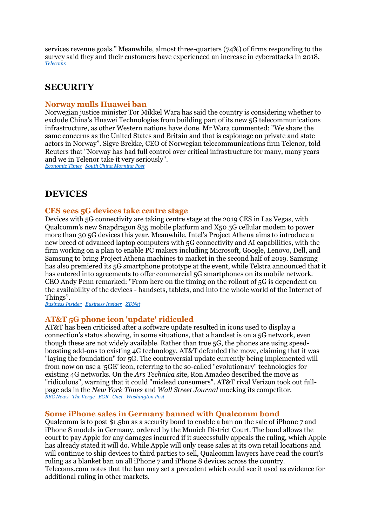services revenue goals." Meanwhile, almost three-quarters (74%) of firms responding to the survey said they and their customers have experienced an increase in cyberattacks in 2018. *[Telecoms](http://telecoms.com/494505/75-of-telecoms-survey-think-2019-will-be-a-great-year/)*

# **SECURITY**

### **Norway mulls Huawei ban**

Norwegian justice minister Tor Mikkel Wara has said the country is considering whether to exclude China's Huawei Technologies from building part of its new 5G telecommunications infrastructure, as other Western nations have done. Mr Wara commented: "We share the same concerns as the United States and Britain and that is espionage on private and state actors in Norway". Sigve Brekke, CEO of Norwegian telecommunications firm Telenor, told Reuters that "Norway has had full control over critical infrastructure for many, many years and we in Telenor take it very seriously".

*[Economic Times](v) [South China Morning Post](https://www.scmp.com/news/world/europe/article/2181450/norway-considering-whether-exclude-huawei-building-5g-network)*

### **DEVICES**

#### **CES sees 5G devices take centre stage**

Devices with 5G connectivity are taking centre stage at the 2019 CES in Las Vegas, with Qualcomm's new Snapdragon 855 mobile platform and X50 5G cellular modem to power more than 30 5G devices this year. Meanwhile, Intel's Project Athena aims to introduce a new breed of advanced laptop computers with 5G connectivity and AI capabilities, with the firm working on a plan to enable PC makers including Microsoft, Google, Lenovo, Dell, and Samsung to bring Project Athena machines to market in the second half of 2019. Samsung has also premiered its 5G smartphone prototype at the event, while Telstra announced that it has entered into agreements to offer commercial 5G smartphones on its mobile network. CEO Andy Penn remarked: "From here on the timing on the rollout of 5G is dependent on the availability of the devices - handsets, tablets, and into the whole world of the Internet of Things".

*[Business Insider](https://www.businessinsider.com/qualcomm-intel-5g-announcements-ces-2019-1?r=US&IR=T) [Business Insider](https://www.businessinsider.com/samsung-displays-5g-prototype-smartphone-ces-2019-2019-1?r=UK&IR=T) [ZDNet](https://www.zdnet.com/article/ces-2019-telstra-confirms-5g-smartphones-by-mid-2019/)*

#### **AT&T 5G phone icon 'update' ridiculed**

AT&T has been criticised after a software update resulted in icons used to display a connection's status showing, in some situations, that a handset is on a 5G network, even though these are not widely available. Rather than true 5G, the phones are using speedboosting add-ons to existing 4G technology. AT&T defended the move, claiming that it was "laying the foundation" for 5G. The controversial update currently being implemented will from now on use a '5GE' icon, referring to the so-called "evolutionary" technologies for existing 4G networks. On the *Ars Technica* site, Ron Amadeo described the move as "ridiculous", warning that it could "mislead consumers". AT&T rival Verizon took out fullpage ads in the *New York Times* and *Wall Street Journal* mocking its competitor. *[BBC News](https://www.bbc.co.uk/news/technology-46795086) [The Verge](https://www.theverge.com/2019/1/9/18175566/att-communications-ceo-fake-5g-e-complaints-response-ces-2019) [BGR](https://bgr.com/2019/01/09/att-5g-claims-exec-defends-strategy-interview/) [Cnet](https://www.cnet.com/news/verizon-and-t-mobile-bash-at-t-over-fake-5g/) [Washington Post](https://www.washingtonpost.com/technology/2019/01/08/att-is-being-criticized-upgrading-its-phones-fake-g-now-t-mobile-is-piling/?utm_term=.71b6c82a0878)*

#### **Some iPhone sales in Germany banned with Qualcomm bond**

Qualcomm is to post \$1.5bn as a security bond to enable a ban on the sale of iPhone 7 and iPhone 8 models in Germany, ordered by the Munich District Court. The bond allows the court to pay Apple for any damages incurred if it successfully appeals the ruling, which Apple has already stated it will do. While Apple will only cease sales at its own retail locations and will continue to ship devices to third parties to sell, Qualcomm lawyers have read the court's ruling as a blanket ban on all iPhone 7 and iPhone 8 devices across the country. Telecoms.com notes that the ban may set a precedent which could see it used as evidence for additional ruling in other markets.